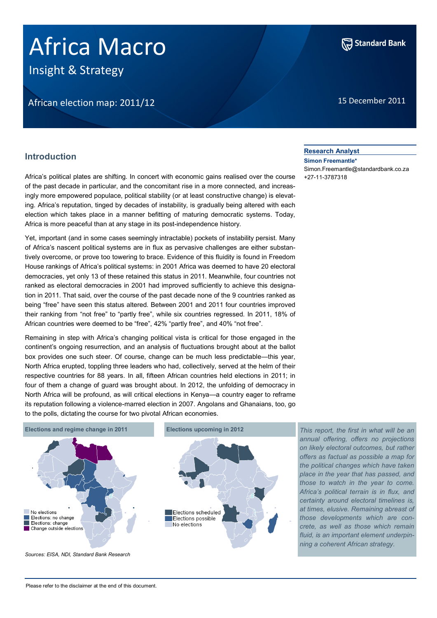# Africa Macro

Insight & Strategy

# African election map: 2011/12 15 December 2011



# **Introduction**

Africa's political plates are shifting. In concert with economic gains realised over the course of the past decade in particular, and the concomitant rise in a more connected, and increasingly more empowered populace, political stability (or at least constructive change) is elevating. Africa's reputation, tinged by decades of instability, is gradually being altered with each election which takes place in a manner befitting of maturing democratic systems. Today, Africa is more peaceful than at any stage in its post-independence history.

Yet, important (and in some cases seemingly intractable) pockets of instability persist. Many of Africa's nascent political systems are in flux as pervasive challenges are either substantively overcome, or prove too towering to brace. Evidence of this fluidity is found in Freedom House rankings of Africa's political systems: in 2001 Africa was deemed to have 20 electoral democracies, yet only 13 of these retained this status in 2011. Meanwhile, four countries not ranked as electoral democracies in 2001 had improved sufficiently to achieve this designation in 2011. That said, over the course of the past decade none of the 9 countries ranked as being "free" have seen this status altered. Between 2001 and 2011 four countries improved their ranking from "not free" to "partly free", while six countries regressed. In 2011, 18% of African countries were deemed to be "free", 42% "partly free", and 40% "not free".

Remaining in step with Africa's changing political vista is critical for those engaged in the continent's ongoing resurrection, and an analysis of fluctuations brought about at the ballot box provides one such steer. Of course, change can be much less predictable—this year, North Africa erupted, toppling three leaders who had, collectively, served at the helm of their respective countries for 88 years. In all, fifteen African countries held elections in 2011; in four of them a change of guard was brought about. In 2012, the unfolding of democracy in North Africa will be profound, as will critical elections in Kenya—a country eager to reframe its reputation following a violence-marred election in 2007. Angolans and Ghanaians, too, go to the polls, dictating the course for two pivotal African economies.



*This report, the first in what will be an annual offering, offers no projections on likely electoral outcomes, but rather offers as factual as possible a map for the political changes which have taken place in the year that has passed, and those to watch in the year to come. Africa's political terrain is in flux, and certainty around electoral timelines is, at times, elusive. Remaining abreast of those developments which are concrete, as well as those which remain fluid, is an important element underpinning a coherent African strategy.* 

*Sources: EISA, NDI, Standard Bank Research*

# **Research Analyst**

**Simon Freemantle\*** Simon.Freemantle@standardbank.co.za +27-11-3787318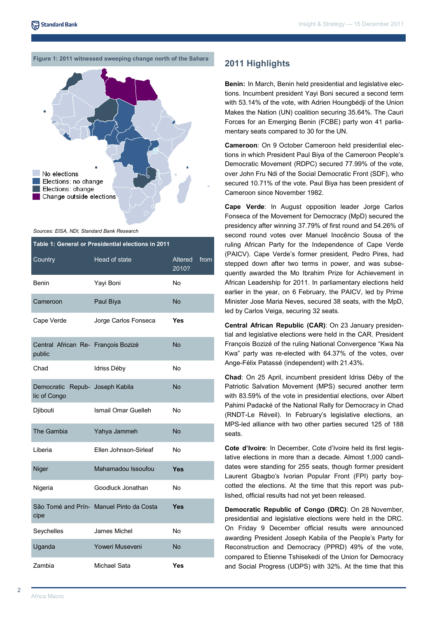# **Figure 1: 2011 witnessed sweeping change north of the Sahara 2011 Highlights**



*Sources: EISA, NDI, Standard Bank Research*

| Table 1: General or Presidential elections in 2011 |                                          |                         |      |  |
|----------------------------------------------------|------------------------------------------|-------------------------|------|--|
| Country                                            | Head of state                            | <b>Altered</b><br>2010? | from |  |
| <b>Benin</b>                                       | Yayi Boni                                | No                      |      |  |
| Cameroon                                           | Paul Biya                                | <b>No</b>               |      |  |
| Cape Verde                                         | Jorge Carlos Fonseca                     | Yes                     |      |  |
| Central African Re- François Bozizé<br>public      |                                          | <b>No</b>               |      |  |
| Chad                                               | Idriss Déby                              | No                      |      |  |
| Democratic<br>lic of Congo                         | Repub- Joseph Kabila                     | No                      |      |  |
| Djibouti                                           | Ismail Omar Guelleh                      | No                      |      |  |
| The Gambia                                         | Yahya Jammeh                             | No                      |      |  |
| Liberia                                            | Ellen Johnson-Sirleaf                    | No                      |      |  |
| Niger                                              | Mahamadou Issoufou                       | Yes                     |      |  |
| Nigeria                                            | Goodluck Jonathan                        | No                      |      |  |
| cipe                                               | São Tomé and Prín- Manuel Pinto da Costa | Yes                     |      |  |
| Seychelles                                         | James Michel                             | No                      |      |  |
| Uganda                                             | Yoweri Museveni                          | No                      |      |  |
| Zambia                                             | Michael Sata                             | Yes                     |      |  |

**Benin:** In March, Benin held presidential and legislative elections. Incumbent president Yayi Boni secured a second term with 53.14% of the vote, with Adrien Houngbédji of the Union Makes the Nation (UN) coalition securing 35.64%. The Cauri Forces for an Emerging Benin (FCBE) party won 41 parliamentary seats compared to 30 for the UN.

**Cameroon**: On 9 October Cameroon held presidential elections in which President Paul Biya of the Cameroon People's Democratic Movement (RDPC) secured 77.99% of the vote, over John Fru Ndi of the Social Democratic Front (SDF), who secured 10.71% of the vote. Paul Biya has been president of Cameroon since November 1982.

**Cape Verde**: In August opposition leader Jorge Carlos Fonseca of the Movement for Democracy (MpD) secured the presidency after winning 37.79% of first round and 54.26% of second round votes over Manuel Inocêncio Sousa of the ruling African Party for the Independence of Cape Verde (PAICV). Cape Verde's former president, Pedro Pires, had stepped down after two terms in power, and was subsequently awarded the Mo Ibrahim Prize for Achievement in African Leadership for 2011. In parliamentary elections held earlier in the year, on 6 February, the PAICV, led by Prime Minister Jose Maria Neves, secured 38 seats, with the MpD, led by Carlos Veiga, securing 32 seats.

**Central African Republic (CAR)**: On 23 January presidential and legislative elections were held in the CAR. President François Bozizé of the ruling National Convergence "Kwa Na Kwa" party was re-elected with 64.37% of the votes, over Ange-Félix Patassé (independent) with 21.43%.

**Chad**: On 25 April, incumbent president Idriss Déby of the Patriotic Salvation Movement (MPS) secured another term with 83.59% of the vote in presidential elections, over Albert Pahimi Padacké of the National Rally for Democracy in Chad (RNDT-Le Réveil). In February's legislative elections, an MPS-led alliance with two other parties secured 125 of 188 seats.

**Cote d'Ivoire**: In December, Cote d'Ivoire held its first legislative elections in more than a decade. Almost 1,000 candidates were standing for 255 seats, though former president Laurent Gbagbo's Ivorian Popular Front (FPI) party boycotted the elections. At the time that this report was published, official results had not yet been released.

**Democratic Republic of Congo (DRC)**: On 28 November, presidential and legislative elections were held in the DRC. On Friday 9 December official results were announced awarding President Joseph Kabila of the People's Party for Reconstruction and Democracy (PPRD) 49% of the vote, compared to Étienne Tshisekedi of the Union for Democracy and Social Progress (UDPS) with 32%. At the time that this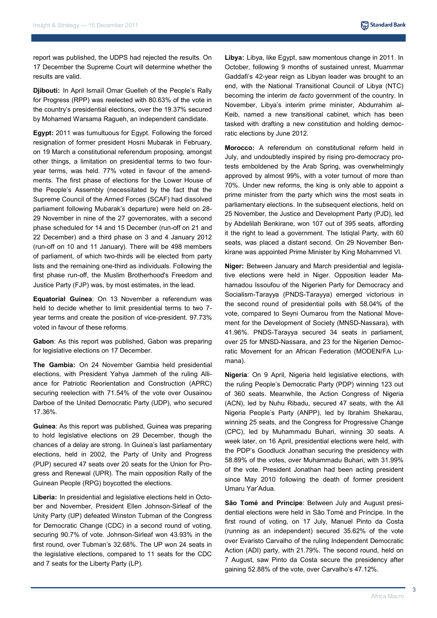report was published, the UDPS had rejected the results. On 17 December the Supreme Court will determine whether the results are valid.

**Djibouti:** In April Ismaïl Omar Guelleh of the People's Rally for Progress (RPP) was reelected with 80.63% of the vote in the country's presidential elections, over the 19.37% secured by Mohamed Warsama Ragueh, an independent candidate.

**Egypt:** 2011 was tumultuous for Egypt. Following the forced resignation of former president Hosni Mubarak in February, on 19 March a constitutional referendum proposing, amongst other things, a limitation on presidential terms to two fouryear terms, was held. 77% voted in favour of the amendments. The first phase of elections for the Lower House of the People's Assembly (necessitated by the fact that the Supreme Council of the Armed Forces (SCAF) had dissolved parliament following Mubarak's departure) were held on 28- 29 November in nine of the 27 governorates, with a second phase scheduled for 14 and 15 December (run-off on 21 and 22 December) and a third phase on 3 and 4 January 2012 (run-off on 10 and 11 January). There will be 498 members of parliament, of which two-thirds will be elected from party lists and the remaining one-third as individuals. Following the first phase run-off, the Muslim Brotherhood's Freedom and Justice Party (FJP) was, by most estimates, in the lead.

**Equatorial Guinea**: On 13 November a referendum was held to decide whether to limit presidential terms to two 7 year terms and create the position of vice-president. 97.73% voted in favour of these reforms.

**Gabon**: As this report was published, Gabon was preparing for legislative elections on 17 December.

**The Gambia:** On 24 November Gambia held presidential elections, with President Yahya Jammeh of the ruling Alliance for Patriotic Reorientation and Construction (APRC) securing reelection with 71.54% of the vote over Ousainou Darboe of the United Democratic Party (UDP), who secured 17.36%.

**Guinea**: As this report was published, Guinea was preparing to hold legislative elections on 29 December, though the chances of a delay are strong. In Guinea's last parliamentary elections, held in 2002, the Party of Unity and Progress (PUP) secured 47 seats over 20 seats for the Union for Progress and Renewal (UPR). The main opposition Rally of the Guinean People (RPG) boycotted the elections.

**Liberia:** In presidential and legislative elections held in October and November, President Ellen Johnson-Sirleaf of the Unity Party (UP) defeated Winston Tubman of the Congress for Democratic Change (CDC) in a second round of voting, securing 90.7% of vote. Johnson-Sirleaf won 43.93% in the first round, over Tubman's 32.68%. The UP won 24 seats in the legislative elections, compared to 11 seats for the CDC and 7 seats for the Liberty Party (LP).

**Libya:** Libya, like Egypt, saw momentous change in 2011. In October, following 9 months of sustained unrest, Muammar Gaddafi's 42-year reign as Libyan leader was brought to an end, with the National Transitional Council of Libya (NTC) becoming the interim *de facto* government of the country. In November, Libya's interim prime minister, Abdurrahim al-Keib, named a new transitional cabinet, which has been tasked with drafting a new constitution and holding democratic elections by June 2012.

**Morocco:** A referendum on constitutional reform held in July, and undoubtedly inspired by rising pro-democracy protests emboldened by the Arab Spring, was overwhelmingly approved by almost 99%, with a voter turnout of more than 70%. Under new reforms, the king is only able to appoint a prime minister from the party which wins the most seats in parliamentary elections. In the subsequent elections, held on 25 November, the Justice and Development Party (PJD), led by Abdelilah Benkirane, won 107 out of 395 seats, affording it the right to lead a government. The Istiqlal Party, with 60 seats, was placed a distant second. On 29 November Benkirane was appointed Prime Minister by King Mohammed VI.

**Niger:** Between January and March presidential and legislative elections were held in Niger. Opposition leader Mahamadou Issoufou of the Nigerien Party for Democracy and Socialism-Tarayya (PNDS-Tarayya) emerged victorious in the second round of presidential polls with 58.04% of the vote, compared to Seyni Oumarou from the National Movement for the Development of Society (MNSD-Nassara), with 41.96%. PNDS-Tarayya secured 34 seats in parliament, over 25 for MNSD-Nassara, and 23 for the Nigerien Democratic Movement for an African Federation (MODEN/FA Lumana).

**Nigeria**: On 9 April, Nigeria held legislative elections, with the ruling People's Democratic Party (PDP) winning 123 out of 360 seats. Meanwhile, the Action Congress of Nigeria (ACN), led by Nuhu Ribadu, secured 47 seats, with the All Nigeria People's Party (ANPP), led by Ibrahim Shekarau, winning 25 seats, and the Congress for Progressive Change (CPC), led by Muhammadu Buhari, winning 30 seats. A week later, on 16 April, presidential elections were held, with the PDP's Goodluck Jonathan securing the presidency with 58.89% of the votes, over Muhammadu Buhari, with 31.99% of the vote. President Jonathan had been acting president since May 2010 following the death of former president Umaru Yar'Adua.

**São Tomé and Príncipe**: Between July and August presidential elections were held in São Tomé and Príncipe. In the first round of voting, on 17 July, Manuel Pinto da Costa (running as an independent) secured 35.62% of the vote over Evaristo Carvalho of the ruling Independent Democratic Action (ADI) party, with 21.79%. The second round, held on 7 August, saw Pinto da Costa secure the presidency after gaining 52.88% of the vote, over Carvalho's 47.12%.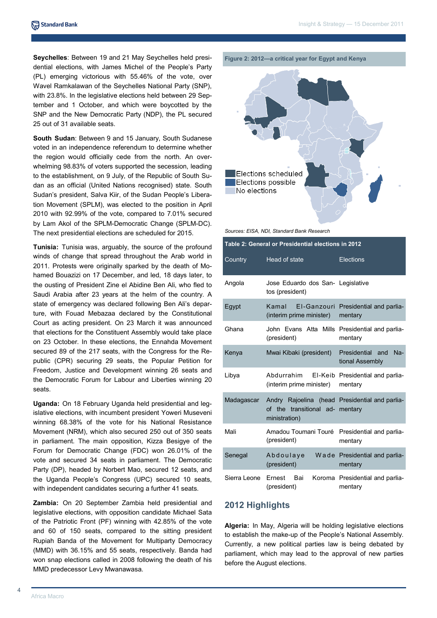**Seychelles**: Between 19 and 21 May Seychelles held presidential elections, with James Michel of the People's Party (PL) emerging victorious with 55.46% of the vote, over Wavel Ramkalawan of the Seychelles National Party (SNP), with 23.8%. In the legislative elections held between 29 September and 1 October, and which were boycotted by the SNP and the New Democratic Party (NDP), the PL secured 25 out of 31 available seats.

**South Sudan**: Between 9 and 15 January, South Sudanese voted in an independence referendum to determine whether the region would officially cede from the north. An overwhelming 98.83% of voters supported the secession, leading to the establishment, on 9 July, of the Republic of South Sudan as an official (United Nations recognised) state. South Sudan's president, Salva Kiir, of the Sudan People's Liberation Movement (SPLM), was elected to the position in April 2010 with 92.99% of the vote, compared to 7.01% secured by Lam Akol of the SPLM-Democratic Change (SPLM-DC). The next presidential elections are scheduled for 2015.

**Tunisia:** Tunisia was, arguably, the source of the profound winds of change that spread throughout the Arab world in 2011. Protests were originally sparked by the death of Mohamed Bouazizi on 17 December, and led, 18 days later, to the ousting of President Zine el Abidine Ben Ali, who fled to Saudi Arabia after 23 years at the helm of the country. A state of emergency was declared following Ben Ali's departure, with Fouad Mebazaa declared by the Constitutional Court as acting president. On 23 March it was announced that elections for the Constituent Assembly would take place on 23 October. In these elections, the Ennahda Movement secured 89 of the 217 seats, with the Congress for the Republic (CPR) securing 29 seats, the Popular Petition for Freedom, Justice and Development winning 26 seats and the Democratic Forum for Labour and Liberties winning 20 seats.

**Uganda:** On 18 February Uganda held presidential and legislative elections, with incumbent president Yoweri Museveni winning 68.38% of the vote for his National Resistance Movement (NRM), which also secured 250 out of 350 seats in parliament. The main opposition, Kizza Besigye of the Forum for Democratic Change (FDC) won 26.01% of the vote and secured 34 seats in parliament. The Democratic Party (DP), headed by Norbert Mao, secured 12 seats, and the Uganda People's Congress (UPC) secured 10 seats, with independent candidates securing a further 41 seats.

**Zambia:** On 20 September Zambia held presidential and legislative elections, with opposition candidate Michael Sata of the Patriotic Front (PF) winning with 42.85% of the vote and 60 of 150 seats, compared to the sitting president Rupiah Banda of the Movement for Multiparty Democracy (MMD) with 36.15% and 55 seats, respectively. Banda had won snap elections called in 2008 following the death of his MMD predecessor Levy Mwanawasa.





*Sources: EISA, NDI, Standard Bank Research*

| Table 2: General or Presidential elections in 2012 |                                                                                            |                                                 |  |
|----------------------------------------------------|--------------------------------------------------------------------------------------------|-------------------------------------------------|--|
| Country                                            | <b>Head of state</b>                                                                       | Elections                                       |  |
| Angola                                             | Jose Eduardo dos San- Legislative<br>tos (president)                                       |                                                 |  |
| Egypt                                              | Kamal<br>(interim prime minister)                                                          | EI-Ganzouri Presidential and parlia-<br>mentary |  |
| Ghana                                              | John Evans Atta Mills Presidential and parlia-<br>(president)                              | mentary                                         |  |
| Kenya                                              | Mwai Kibaki (president)                                                                    | Presidential and<br>$Na-$<br>tional Assembly    |  |
| Libya                                              | Abdurrahim<br>El-Keib<br>(interim prime minister)                                          | Presidential and parlia-<br>mentary             |  |
| Madagascar                                         | Andry Rajoelina (head Presidential and parlia-<br>of the transitional ad-<br>ministration) | mentary                                         |  |
| Mali                                               | Amadou Toumani Touré<br>(president)                                                        | Presidential and parlia-<br>mentary             |  |
| Senegal                                            | Abdoulaye<br>(president)                                                                   | Wade Presidential and parlia-<br>mentary        |  |
| Sierra Leone                                       | Ernest<br>Bai<br>(president)                                                               | Koroma Presidential and parlia-<br>mentary      |  |

## **2012 Highlights**

**Algeria:** In May, Algeria will be holding legislative elections to establish the make-up of the People's National Assembly. Currently, a new political parties law is being debated by parliament, which may lead to the approval of new parties before the August elections.

4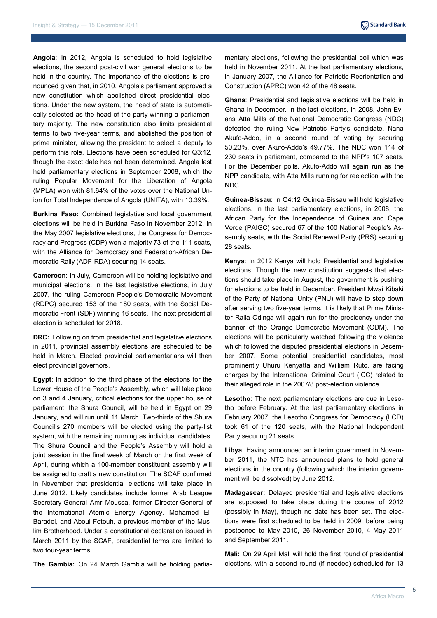**Angola**: In 2012, Angola is scheduled to hold legislative elections, the second post-civil war general elections to be held in the country. The importance of the elections is pronounced given that, in 2010, Angola's parliament approved a new constitution which abolished direct presidential elections. Under the new system, the head of state is automatically selected as the head of the party winning a parliamentary majority. The new constitution also limits presidential terms to two five-year terms, and abolished the position of prime minister, allowing the president to select a deputy to perform this role. Elections have been scheduled for Q3:12, though the exact date has not been determined. Angola last held parliamentary elections in September 2008, which the ruling Popular Movement for the Liberation of Angola (MPLA) won with 81.64% of the votes over the National Union for Total Independence of Angola (UNITA), with 10.39%.

**Burkina Faso: Combined legislative and local government** elections will be held in Burkina Faso in November 2012. In the May 2007 legislative elections, the Congress for Democracy and Progress (CDP) won a majority 73 of the 111 seats, with the Alliance for Democracy and Federation-African Democratic Rally (ADF-RDA) securing 14 seats.

**Cameroon**: In July, Cameroon will be holding legislative and municipal elections. In the last legislative elections, in July 2007, the ruling Cameroon People's Democratic Movement (RDPC) secured 153 of the 180 seats, with the Social Democratic Front (SDF) winning 16 seats. The next presidential election is scheduled for 2018.

**DRC:** Following on from presidential and legislative elections in 2011, provincial assembly elections are scheduled to be held in March. Elected provincial parliamentarians will then elect provincial governors.

**Egypt**: In addition to the third phase of the elections for the Lower House of the People's Assembly, which will take place on 3 and 4 January, critical elections for the upper house of parliament, the Shura Council, will be held in Egypt on 29 January, and will run until 11 March. Two-thirds of the Shura Council's 270 members will be elected using the party-list system, with the remaining running as individual candidates. The Shura Council and the People's Assembly will hold a joint session in the final week of March or the first week of April, during which a 100-member constituent assembly will be assigned to craft a new constitution. The SCAF confirmed in November that presidential elections will take place in June 2012. Likely candidates include former Arab League Secretary-General Amr Moussa, former Director-General of the International Atomic Energy Agency, Mohamed El-Baradei, and Aboul Fotouh, a previous member of the Muslim Brotherhood. Under a constitutional declaration issued in March 2011 by the SCAF, presidential terms are limited to two four-year terms.

**The Gambia:** On 24 March Gambia will be holding parlia-

mentary elections, following the presidential poll which was held in November 2011. At the last parliamentary elections, in January 2007, the Alliance for Patriotic Reorientation and Construction (APRC) won 42 of the 48 seats.

**Ghana**: Presidential and legislative elections will be held in Ghana in December. In the last elections, in 2008, John Evans Atta Mills of the National Democratic Congress (NDC) defeated the ruling New Patriotic Party's candidate, Nana Akufo-Addo, in a second round of voting by securing 50.23%, over Akufo-Addo's 49.77%. The NDC won 114 of 230 seats in parliament, compared to the NPP's 107 seats. For the December polls, Akufo-Addo will again run as the NPP candidate, with Atta Mills running for reelection with the NDC.

**Guinea-Bissau**: In Q4:12 Guinea-Bissau will hold legislative elections. In the last parliamentary elections, in 2008, the African Party for the Independence of Guinea and Cape Verde (PAIGC) secured 67 of the 100 National People's Assembly seats, with the Social Renewal Party (PRS) securing 28 seats.

**Kenya**: In 2012 Kenya will hold Presidential and legislative elections. Though the new constitution suggests that elections should take place in August, the government is pushing for elections to be held in December. President Mwai Kibaki of the Party of National Unity (PNU) will have to step down after serving two five-year terms. It is likely that Prime Minister Raila Odinga will again run for the presidency under the banner of the Orange Democratic Movement (ODM). The elections will be particularly watched following the violence which followed the disputed presidential elections in December 2007. Some potential presidential candidates, most prominently Uhuru Kenyatta and William Ruto, are facing charges by the International Criminal Court (ICC) related to their alleged role in the 2007/8 post-election violence.

**Lesotho**: The next parliamentary elections are due in Lesotho before February. At the last parliamentary elections in February 2007, the Lesotho Congress for Democracy (LCD) took 61 of the 120 seats, with the National Independent Party securing 21 seats.

**Libya**: Having announced an interim government in November 2011, the NTC has announced plans to hold general elections in the country (following which the interim government will be dissolved) by June 2012.

**Madagascar:** Delayed presidential and legislative elections are supposed to take place during the course of 2012 (possibly in May), though no date has been set. The elections were first scheduled to be held in 2009, before being postponed to May 2010, 26 November 2010, 4 May 2011 and September 2011.

**Mali:** On 29 April Mali will hold the first round of presidential elections, with a second round (if needed) scheduled for 13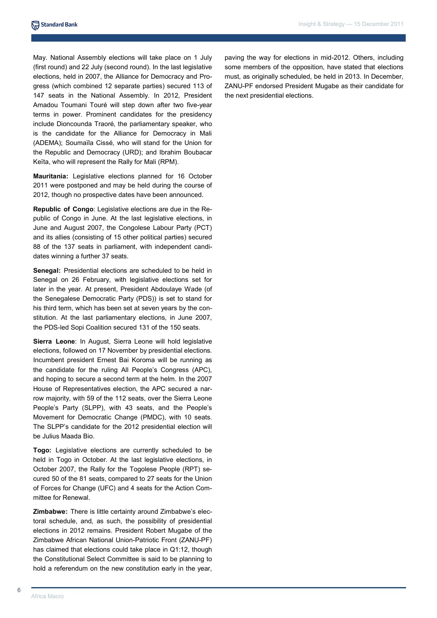May. National Assembly elections will take place on 1 July (first round) and 22 July (second round). In the last legislative elections, held in 2007, the Alliance for Democracy and Progress (which combined 12 separate parties) secured 113 of 147 seats in the National Assembly. In 2012, President Amadou Toumani Touré will step down after two five-year terms in power. Prominent candidates for the presidency include Dioncounda Traoré, the parliamentary speaker, who is the candidate for the Alliance for Democracy in Mali (ADEMA); Soumaïla Cissé, who will stand for the Union for the Republic and Democracy (URD); and Ibrahim Boubacar Keïta, who will represent the Rally for Mali (RPM).

**Mauritania:** Legislative elections planned for 16 October 2011 were postponed and may be held during the course of 2012, though no prospective dates have been announced.

**Republic of Congo**: Legislative elections are due in the Republic of Congo in June. At the last legislative elections, in June and August 2007, the Congolese Labour Party (PCT) and its allies (consisting of 15 other political parties) secured 88 of the 137 seats in parliament, with independent candidates winning a further 37 seats.

**Senegal:** Presidential elections are scheduled to be held in Senegal on 26 February, with legislative elections set for later in the year. At present, President Abdoulaye Wade (of the Senegalese Democratic Party (PDS)) is set to stand for his third term, which has been set at seven years by the constitution. At the last parliamentary elections, in June 2007, the PDS-led Sopi Coalition secured 131 of the 150 seats.

**Sierra Leone**: In August, Sierra Leone will hold legislative elections, followed on 17 November by presidential elections. Incumbent president Ernest Bai Koroma will be running as the candidate for the ruling All People's Congress (APC), and hoping to secure a second term at the helm. In the 2007 House of Representatives election, the APC secured a narrow majority, with 59 of the 112 seats, over the Sierra Leone People's Party (SLPP), with 43 seats, and the People's Movement for Democratic Change (PMDC), with 10 seats. The SLPP's candidate for the 2012 presidential election will be Julius Maada Bio.

**Togo:** Legislative elections are currently scheduled to be held in Togo in October. At the last legislative elections, in October 2007, the Rally for the Togolese People (RPT) secured 50 of the 81 seats, compared to 27 seats for the Union of Forces for Change (UFC) and 4 seats for the Action Committee for Renewal.

**Zimbabwe:** There is little certainty around Zimbabwe's electoral schedule, and, as such, the possibility of presidential elections in 2012 remains. President Robert Mugabe of the Zimbabwe African National Union-Patriotic Front (ZANU-PF) has claimed that elections could take place in Q1:12, though the Constitutional Select Committee is said to be planning to hold a referendum on the new constitution early in the year,

paving the way for elections in mid-2012. Others, including some members of the opposition, have stated that elections must, as originally scheduled, be held in 2013. In December, ZANU-PF endorsed President Mugabe as their candidate for the next presidential elections.

6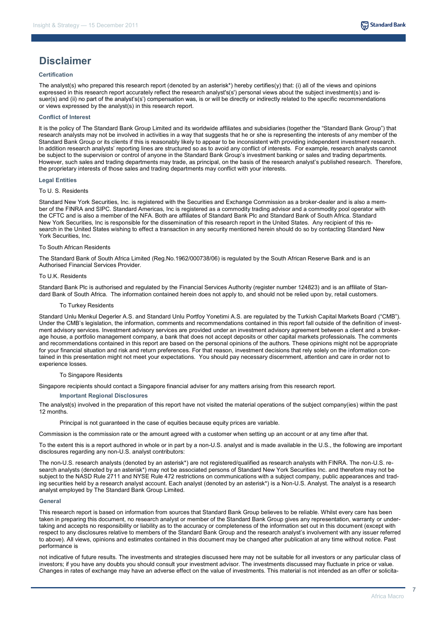

# **Disclaimer**

## **Certification**

The analyst(s) who prepared this research report (denoted by an asterisk\*) hereby certifies(y) that: (i) all of the views and opinions expressed in this research report accurately reflect the research analyst's(s') personal views about the subject investment(s) and issuer(s) and (ii) no part of the analyst's(s') compensation was, is or will be directly or indirectly related to the specific recommendations or views expressed by the analyst(s) in this research report.

## **Conflict of Interest**

It is the policy of The Standard Bank Group Limited and its worldwide affiliates and subsidiaries (together the "Standard Bank Group") that research analysts may not be involved in activities in a way that suggests that he or she is representing the interests of any member of the Standard Bank Group or its clients if this is reasonably likely to appear to be inconsistent with providing independent investment research. In addition research analysts' reporting lines are structured so as to avoid any conflict of interests. For example, research analysts cannot be subject to the supervision or control of anyone in the Standard Bank Group's investment banking or sales and trading departments. However, such sales and trading departments may trade, as principal, on the basis of the research analyst's published research. Therefore, the proprietary interests of those sales and trading departments may conflict with your interests.

#### **Legal Entities**

#### To U. S. Residents

Standard New York Securities, Inc. is registered with the Securities and Exchange Commission as a broker-dealer and is also a member of the FINRA and SIPC. Standard Americas, Inc is registered as a commodity trading advisor and a commodity pool operator with the CFTC and is also a member of the NFA. Both are affiliates of Standard Bank Plc and Standard Bank of South Africa. Standard New York Securities, Inc is responsible for the dissemination of this research report in the United States. Any recipient of this research in the United States wishing to effect a transaction in any security mentioned herein should do so by contacting Standard New York Securities, Inc.

#### To South African Residents

The Standard Bank of South Africa Limited (Reg.No.1962/000738/06) is regulated by the South African Reserve Bank and is an Authorised Financial Services Provider.

#### To U.K. Residents

Standard Bank Plc is authorised and regulated by the Financial Services Authority (register number 124823) and is an affiliate of Standard Bank of South Africa. The information contained herein does not apply to, and should not be relied upon by, retail customers.

#### To Turkey Residents

Standard Unlu Menkul Degerler A.S. and Standard Unlu Portfoy Yonetimi A.S. are regulated by the Turkish Capital Markets Board ("CMB"). Under the CMB's legislation, the information, comments and recommendations contained in this report fall outside of the definition of investment advisory services. Investment advisory services are provided under an investment advisory agreement between a client and a brokerage house, a portfolio management company, a bank that does not accept deposits or other capital markets professionals. The comments and recommendations contained in this report are based on the personal opinions of the authors. These opinions might not be appropriate for your financial situation and risk and return preferences. For that reason, investment decisions that rely solely on the information contained in this presentation might not meet your expectations. You should pay necessary discernment, attention and care in order not to experience losses.

#### To Singapore Residents

Singapore recipients should contact a Singapore financial adviser for any matters arising from this research report.

#### **Important Regional Disclosures**

The analyst(s) involved in the preparation of this report have not visited the material operations of the subject company(ies) within the past 12 months.

Principal is not guaranteed in the case of equities because equity prices are variable.

Commission is the commission rate or the amount agreed with a customer when setting up an account or at any time after that.

To the extent this is a report authored in whole or in part by a non-U.S. analyst and is made available in the U.S., the following are important disclosures regarding any non-U.S. analyst contributors:

The non-U.S. research analysts (denoted by an asterisk\*) are not registered/qualified as research analysts with FINRA. The non-U.S. research analysts (denoted by an asterisk\*) may not be associated persons of Standard New York Securities Inc. and therefore may not be subject to the NASD Rule 2711 and NYSE Rule 472 restrictions on communications with a subject company, public appearances and trading securities held by a research analyst account. Each analyst (denoted by an asterisk\*) is a Non-U.S. Analyst. The analyst is a research analyst employed by The Standard Bank Group Limited.

#### **General**

This research report is based on information from sources that Standard Bank Group believes to be reliable. Whilst every care has been taken in preparing this document, no research analyst or member of the Standard Bank Group gives any representation, warranty or undertaking and accepts no responsibility or liability as to the accuracy or completeness of the information set out in this document (except with respect to any disclosures relative to members of the Standard Bank Group and the research analyst's involvement with any issuer referred to above). All views, opinions and estimates contained in this document may be changed after publication at any time without notice. Past performance is

not indicative of future results. The investments and strategies discussed here may not be suitable for all investors or any particular class of investors; if you have any doubts you should consult your investment advisor. The investments discussed may fluctuate in price or value. Changes in rates of exchange may have an adverse effect on the value of investments. This material is not intended as an offer or solicita-